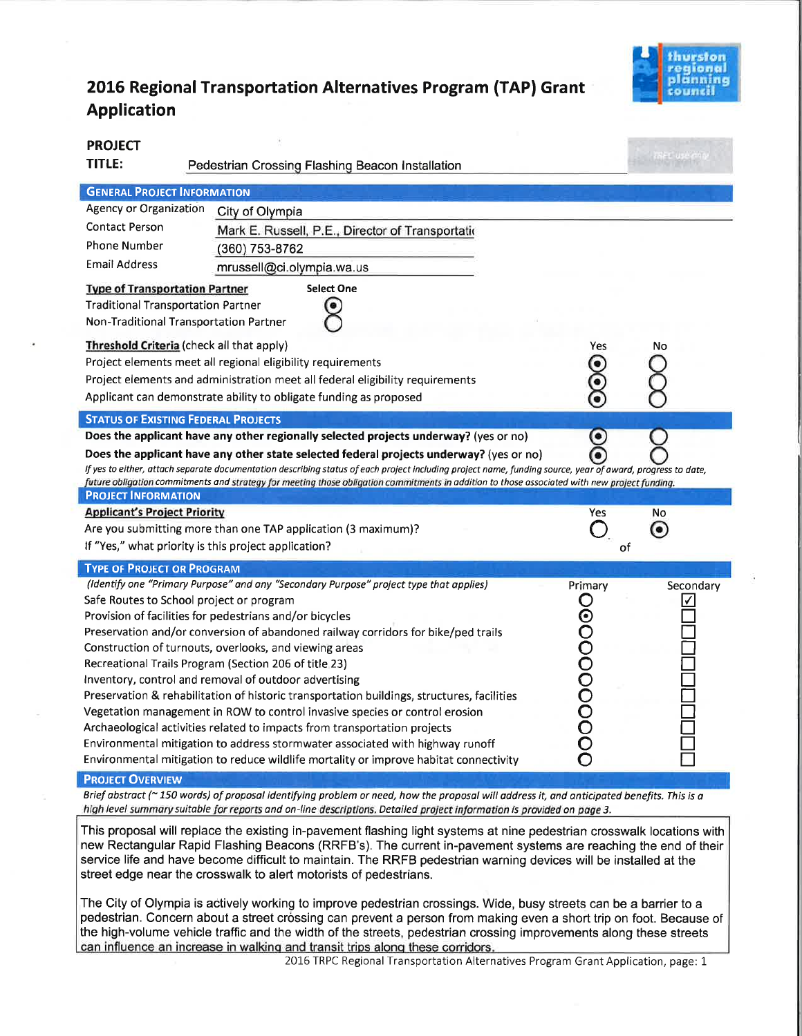

## 2OL6 Regional Transportation Alternatives Program (TAP) Grant Application

| <b>PROJECT</b><br><b>TITLE:</b>                                                                                                                                                                                                                                                                                                                                                                                                      | Pedestrian Crossing Flashing Beacon Installation                                                                                                                                                                                                                                                                                                                                                                                                                                                                                                                                                                                                                                                                                                                                                                                                                                                   |                       |           |  |  |
|--------------------------------------------------------------------------------------------------------------------------------------------------------------------------------------------------------------------------------------------------------------------------------------------------------------------------------------------------------------------------------------------------------------------------------------|----------------------------------------------------------------------------------------------------------------------------------------------------------------------------------------------------------------------------------------------------------------------------------------------------------------------------------------------------------------------------------------------------------------------------------------------------------------------------------------------------------------------------------------------------------------------------------------------------------------------------------------------------------------------------------------------------------------------------------------------------------------------------------------------------------------------------------------------------------------------------------------------------|-----------------------|-----------|--|--|
|                                                                                                                                                                                                                                                                                                                                                                                                                                      |                                                                                                                                                                                                                                                                                                                                                                                                                                                                                                                                                                                                                                                                                                                                                                                                                                                                                                    |                       |           |  |  |
| <b>GENERAL PROJECT INFORMATION</b>                                                                                                                                                                                                                                                                                                                                                                                                   |                                                                                                                                                                                                                                                                                                                                                                                                                                                                                                                                                                                                                                                                                                                                                                                                                                                                                                    |                       |           |  |  |
| Agency or Organization                                                                                                                                                                                                                                                                                                                                                                                                               | City of Olympia                                                                                                                                                                                                                                                                                                                                                                                                                                                                                                                                                                                                                                                                                                                                                                                                                                                                                    |                       |           |  |  |
| <b>Contact Person</b>                                                                                                                                                                                                                                                                                                                                                                                                                | Mark E. Russell, P.E., Director of Transportatio                                                                                                                                                                                                                                                                                                                                                                                                                                                                                                                                                                                                                                                                                                                                                                                                                                                   |                       |           |  |  |
| Phone Number                                                                                                                                                                                                                                                                                                                                                                                                                         | (360) 753-8762                                                                                                                                                                                                                                                                                                                                                                                                                                                                                                                                                                                                                                                                                                                                                                                                                                                                                     |                       |           |  |  |
| <b>Email Address</b>                                                                                                                                                                                                                                                                                                                                                                                                                 | mrussell@ci.olympia.wa.us                                                                                                                                                                                                                                                                                                                                                                                                                                                                                                                                                                                                                                                                                                                                                                                                                                                                          |                       |           |  |  |
| <b>Type of Transportation Partner</b><br><b>Traditional Transportation Partner</b>                                                                                                                                                                                                                                                                                                                                                   | <b>Select One</b><br>Non-Traditional Transportation Partner                                                                                                                                                                                                                                                                                                                                                                                                                                                                                                                                                                                                                                                                                                                                                                                                                                        |                       |           |  |  |
| Threshold Criteria (check all that apply)<br>Project elements meet all regional eligibility requirements<br>Project elements and administration meet all federal eligibility requirements<br>Applicant can demonstrate ability to obligate funding as proposed                                                                                                                                                                       | No                                                                                                                                                                                                                                                                                                                                                                                                                                                                                                                                                                                                                                                                                                                                                                                                                                                                                                 |                       |           |  |  |
|                                                                                                                                                                                                                                                                                                                                                                                                                                      | <b>STATUS OF EXISTING FEDERAL PROJECTS</b>                                                                                                                                                                                                                                                                                                                                                                                                                                                                                                                                                                                                                                                                                                                                                                                                                                                         |                       |           |  |  |
| Does the applicant have any other regionally selected projects underway? (yes or no)<br>◉                                                                                                                                                                                                                                                                                                                                            |                                                                                                                                                                                                                                                                                                                                                                                                                                                                                                                                                                                                                                                                                                                                                                                                                                                                                                    |                       |           |  |  |
| Does the applicant have any other state selected federal projects underway? (yes or no)<br>If yes to either, attach separate documentation describing status of each project including project name, funding source, year of award, progress to date,<br>future obligation commitments and strategy for meeting those obligation commitments in addition to those associated with new project funding.<br><b>PROJECT INFORMATION</b> |                                                                                                                                                                                                                                                                                                                                                                                                                                                                                                                                                                                                                                                                                                                                                                                                                                                                                                    |                       |           |  |  |
| <b>Applicant's Project Priority</b>                                                                                                                                                                                                                                                                                                                                                                                                  |                                                                                                                                                                                                                                                                                                                                                                                                                                                                                                                                                                                                                                                                                                                                                                                                                                                                                                    | Yes                   | No        |  |  |
| Are you submitting more than one TAP application (3 maximum)?<br>If "Yes," what priority is this project application?                                                                                                                                                                                                                                                                                                                | ◉<br>of                                                                                                                                                                                                                                                                                                                                                                                                                                                                                                                                                                                                                                                                                                                                                                                                                                                                                            |                       |           |  |  |
| <b>TYPE OF PROJECT OR PROGRAM</b>                                                                                                                                                                                                                                                                                                                                                                                                    |                                                                                                                                                                                                                                                                                                                                                                                                                                                                                                                                                                                                                                                                                                                                                                                                                                                                                                    |                       |           |  |  |
|                                                                                                                                                                                                                                                                                                                                                                                                                                      | (Identify one "Primary Purpose" and any "Secondary Purpose" project type that applies)<br>Safe Routes to School project or program<br>Provision of facilities for pedestrians and/or bicycles<br>Preservation and/or conversion of abandoned railway corridors for bike/ped trails<br>Construction of turnouts, overlooks, and viewing areas<br>Recreational Trails Program (Section 206 of title 23)<br>Inventory, control and removal of outdoor advertising<br>Preservation & rehabilitation of historic transportation buildings, structures, facilities<br>Vegetation management in ROW to control invasive species or control erosion<br>Archaeological activities related to impacts from transportation projects<br>Environmental mitigation to address stormwater associated with highway runoff<br>Environmental mitigation to reduce wildlife mortality or improve habitat connectivity | Primary<br>0000000000 | Secondary |  |  |
| <b>PROJECT OVERVIEW</b>                                                                                                                                                                                                                                                                                                                                                                                                              |                                                                                                                                                                                                                                                                                                                                                                                                                                                                                                                                                                                                                                                                                                                                                                                                                                                                                                    |                       |           |  |  |

Brief abstract ( $\sim$  150 words) of proposal identifying problem or need, how the proposal will address it, and anticipated benefits. This is a high level summary suitable for reports and on-line descriptions. Detailed project information is provided on page 3.

This proposal will replace the existing in-pavement flashing light systems at nine pedestrian crosswalk locations with new Rectangular Rapid Flashing Beacons (RRFB's). The current in-pavement systems are reaching the end of their service life and have become difficult to maintain. The RRFB pedestrian warning devices will be installed at the street edge near the crosswalk to alert motorists of pedestrians.

The City of Olympia is actively working to improve pedestrian crossings. Wide, busy streets can be a barrier to a pedestrian. Concern about a street crossing can prevent a person from making even a short trip on foot. Because of the high-volume vehicle traffic and the width of the streets, pedestrian crossing improvements along these streets can influence an increase in walking and transit trips along these corridors.

2016 TRPC Regional Transportation Alternatives Program Grant Application, page: 1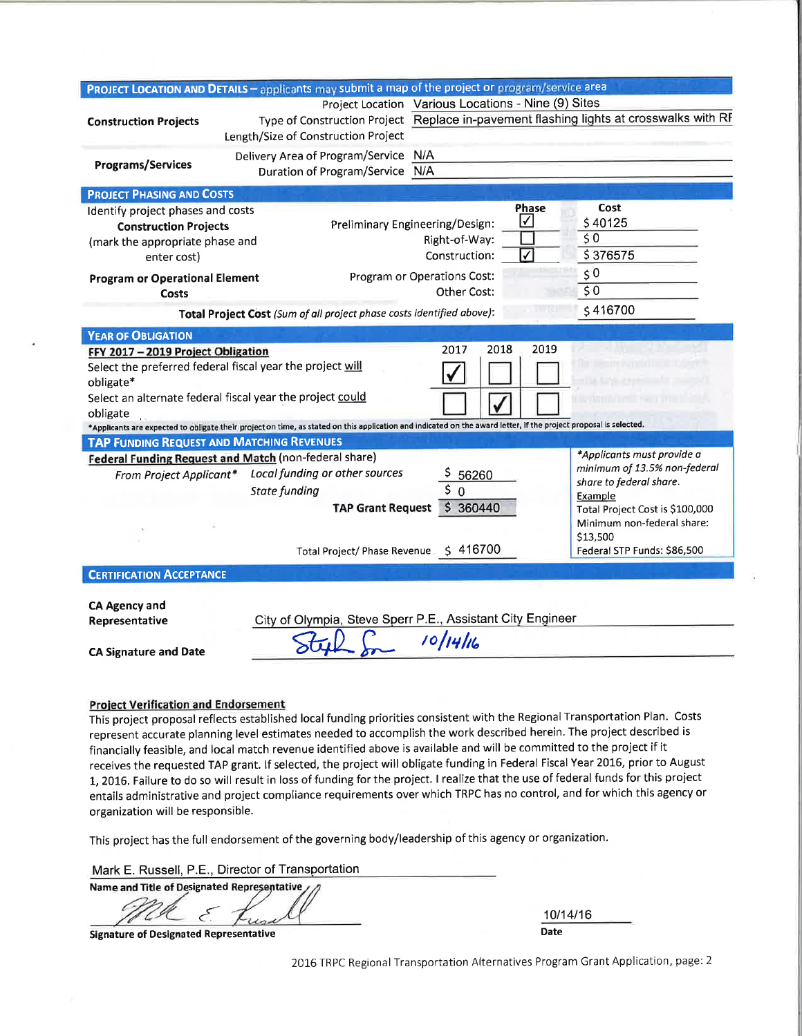|                                                                                                                                              | PROJECT LOCATION AND DETAILS - applicants may submit a map of the project or program/service area                                                                                                                                                                                                                                                                                                              |                                                                                                                                               |                                                                                                                                                |  |
|----------------------------------------------------------------------------------------------------------------------------------------------|----------------------------------------------------------------------------------------------------------------------------------------------------------------------------------------------------------------------------------------------------------------------------------------------------------------------------------------------------------------------------------------------------------------|-----------------------------------------------------------------------------------------------------------------------------------------------|------------------------------------------------------------------------------------------------------------------------------------------------|--|
| <b>Construction Projects</b>                                                                                                                 | Length/Size of Construction Project                                                                                                                                                                                                                                                                                                                                                                            | Project Location Various Locations - Nine (9) Sites<br>Type of Construction Project Replace in-pavement flashing lights at crosswalks with RF |                                                                                                                                                |  |
| <b>Programs/Services</b>                                                                                                                     | Delivery Area of Program/Service N/A<br>Duration of Program/Service N/A                                                                                                                                                                                                                                                                                                                                        |                                                                                                                                               |                                                                                                                                                |  |
| <b>PROJECT PHASING AND COSTS</b>                                                                                                             |                                                                                                                                                                                                                                                                                                                                                                                                                |                                                                                                                                               |                                                                                                                                                |  |
| Identify project phases and costs<br><b>Construction Projects</b><br>(mark the appropriate phase and<br>enter cost)                          |                                                                                                                                                                                                                                                                                                                                                                                                                | Phase<br>$\sqrt{}$<br>Preliminary Engineering/Design:<br>Right-of-Way:<br>✓<br>Construction:                                                  | Cost<br>\$40125<br>\$0<br>\$376575                                                                                                             |  |
| <b>Program or Operational Element</b><br>Costs                                                                                               |                                                                                                                                                                                                                                                                                                                                                                                                                | Program or Operations Cost:<br>Other Cost:                                                                                                    | 50<br>50<br>\$416700                                                                                                                           |  |
|                                                                                                                                              | Total Project Cost (Sum of all project phase costs identified above):                                                                                                                                                                                                                                                                                                                                          |                                                                                                                                               |                                                                                                                                                |  |
| <b>YEAR OF OBLIGATION</b><br>FFY 2017 - 2019 Project Obligation<br>obligate*<br>obligate<br><b>TAP FUNDING REQUEST AND MATCHING REVENUES</b> | Select the preferred federal fiscal year the project will<br>Select an alternate federal fiscal year the project could<br>*Applicants are expected to obligate their project on time, as stated on this application and indicated on the award letter, if the project proposal is selected.<br>Federal Funding Request and Match (non-federal share)<br>From Project Applicant* Local funding or other sources | 2018<br>2019<br>2017<br>56260                                                                                                                 | <b>CONTRACTOR</b><br>*Applicants must provide a<br>minimum of 13.5% non-federal                                                                |  |
|                                                                                                                                              | State funding<br><b>TAP Grant Request</b><br>Total Project/ Phase Revenue_\$ 416700                                                                                                                                                                                                                                                                                                                            | 50<br>\$360440                                                                                                                                | share to federal share.<br>Example<br>Total Project Cost is \$100,000<br>Minimum non-federal share:<br>\$13,500<br>Federal STP Funds: \$86,500 |  |
| <b>CERTIFICATION ACCEPTANCE</b>                                                                                                              |                                                                                                                                                                                                                                                                                                                                                                                                                |                                                                                                                                               |                                                                                                                                                |  |
| <b>CA Agency and</b><br>Representative<br><b>CA Signature and Date</b>                                                                       |                                                                                                                                                                                                                                                                                                                                                                                                                | City of Olympia, Steve Sperr P.E., Assistant City Engineer<br>10/14/16                                                                        |                                                                                                                                                |  |

#### **Project Verification and Endorsement**

This project proposal reflects established local funding priorities consistent with the Regional Transportation Plan. Costs represent accurate planning level estimates needed to accomplish the work described herein. The project described is financially feasible, and local match revenue identified above is available and will be committed to the project if it receives the requested TAP grant. If selected, the project will obligate funding in Federal Fiscal Year 2016, prior to August 1, 2016. Failure to do so will result in loss of funding for the project. I realize that the use of federal funds for this project entails administrative and project compliance requirements over which TRPC has no control, and for which this agency or organization will be responsible.

This project has the full endorsement of the governing body/leadership of this agency or organization.

Mark E. Russell, P.E., Director of Transportation

**Name and Title of Designated Representative** 

10/14/16 **Date** 

**Signature of Designated Representative** 

2016 TRPC Regional Transportation Alternatives Program Grant Application, page: 2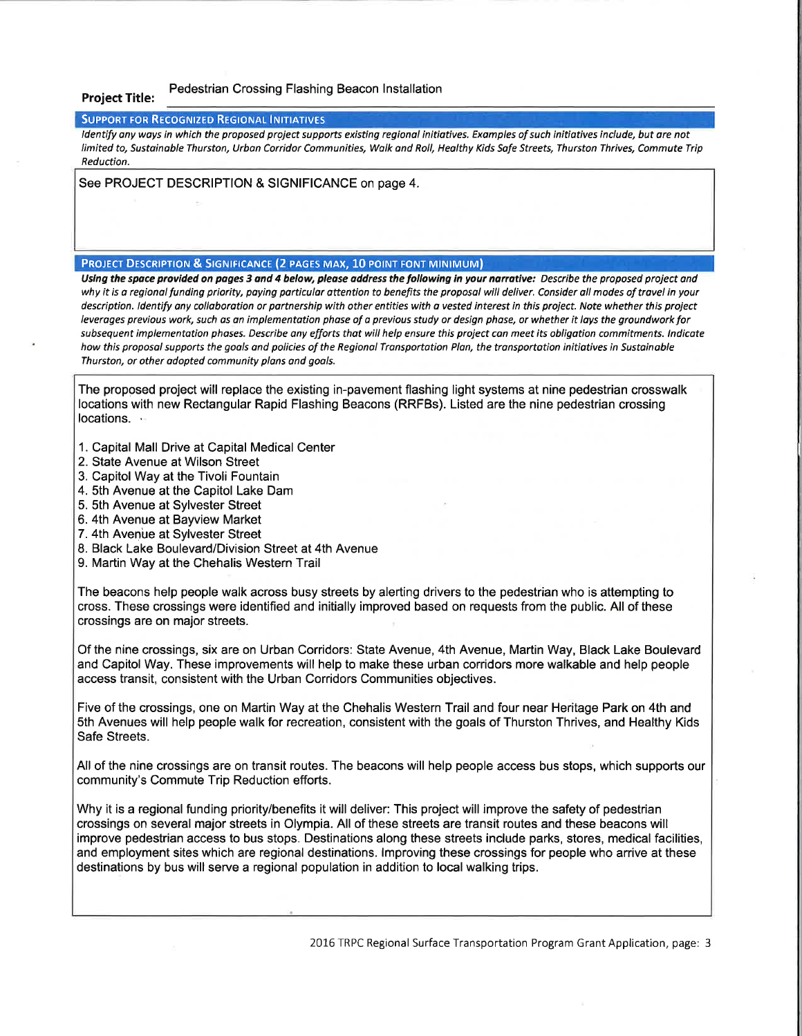#### Pedestrian Crossing Flashing Beacon lnstallation Project Title:

#### SUPPORT FOR RECOGNIZED REGIONAL INITIATIVES

Identify any ways in which the proposed project supports existing regional initiatives. Examples of such initiatives include, but are not limited to, Sustainable Thurston, Urban Corridor Communities, Walk and Roll, Healthy Kids Safe Streets, Thurston Thrives, Commute Trip Reduction.

See PROJECT DESCRIPTION & SIGNIFICANCE on page 4.

### PROJECT DESCRIPTION & SIGNIFICANCE (2 PAGES MAX, 10 POINT FONT MINIMUM)

Using the space provided on pages 3 and 4 below, please address the following in your narrative: Describe the proposed project and why it is a regional funding priority, paying particular attention to benefits the proposal will deliver. Consider all modes of travel in your description. Identify any collaboration or partnership with other entities with a vested interest in this project. Note whether this project leverages previous work, such as an implementation phase of a previous study or design phase, or whether it lays the groundwork for subsequent implementation phases. Describe any efforts that will help ensure this project can meet its obligation commitments. Indicate how this proposal supports the goals and policies of the Regional Transportation Plan, the transportation initiatives in Sustainable Thurston, or other adopted community plans and goals.

The proposed project will replace the existing in-pavement flashing light systems at nine pedestrian crosswalk locations with new Rectangular Rapid Flashing Beacons (RRFBS). Listed are the nine pedestrian crossing locations.

- 1. Capital Mall Drive at Capital Medical Center
- 2. State Avenue at Wilson Street
- 3. Capitol Way at the Tivoli Fountain
- 4. Sth Avenue at the Capitol Lake Dam
- 5. Sth Avenue at Sylvester Street
- 6. 4th Avenue at Bayview Market
- 7. 4th Avenue at Sylvester Street
- 8. Black Lake Boulevard/Division Street at 4th Avenue
- 9. Martin Way at the Chehalis Western Trail

The beacons help people walk across busy streets by alerting drivers to the pedestrian who is attempting to cross. These crossings were identified and initially improved based on requests from the public. All of these crossings are on major streets

Of the nine crossings, six are on Urban Corridors: State Avenue, 4th Avenue, Martin Way, Black Lake Boulevard and Capitol Way. These improvements will help to make these urban corridors more walkable and help people access transit, consistent with the Urban Corridors Communities objectives.

Five of the crossings, one on Martin Way at the Chehalis Western Trail and four near Heritage Park on 4th and 5th Avenues will help people walk for recreation, consistent with the goals of Thurston Thrives, and Healthy Kids Safe Streets.

All of the nine crossings are on transit routes. The beacons will help people access bus stops, which supports our community's Commute Trip Reduction efforts.

Why it is a regional funding priority/benefits it will deliver: This project will improve the safety of pedestrian crossings on several major streets in Olympia. All of these streets are transit routes and these beacons will improve pedestrian access to bus stops. Destinations along these streets include parks, stores, medical facilities, and employment sites which are regional destinations. lmproving these crossings for people who arrive at these destinations by bus will serve a regional population in addition to local walking trips.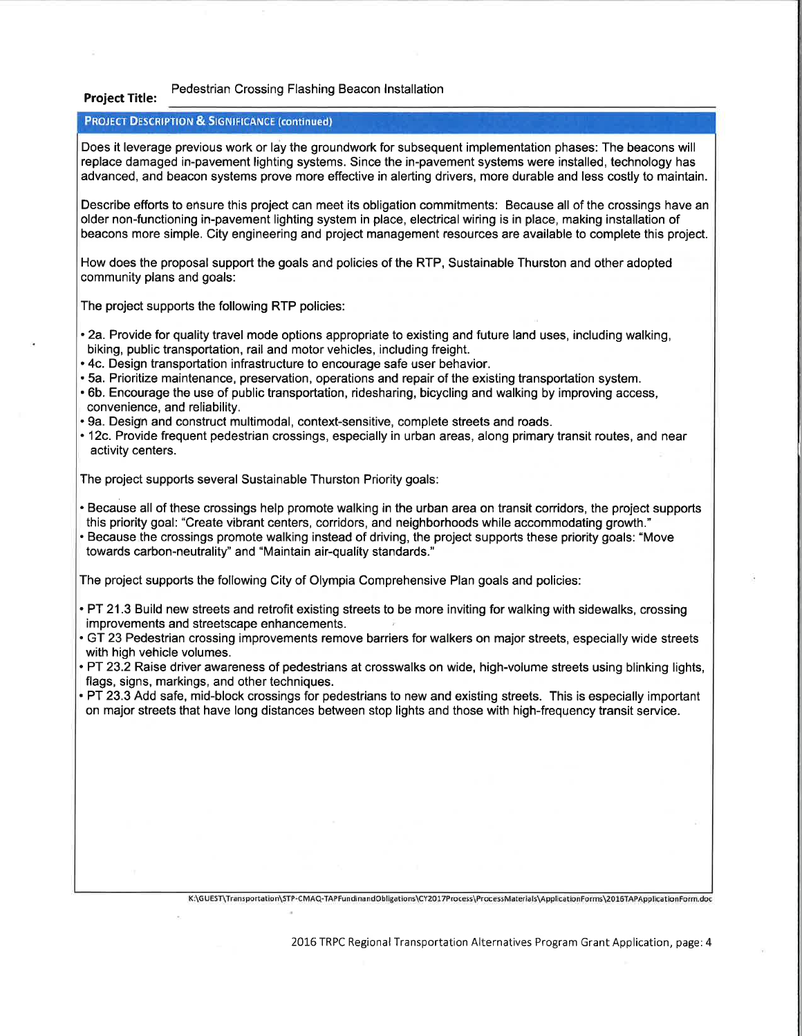## Project Title: Pedestrian Crossing Flashing Beacon lnstallation

#### **PROJECT DESCRIPTION & SIGNIFICANCE (continued)**

Does it leverage previous work or lay the groundwork for subsequent implementation phases: The beacons will replace damaged in-pavement lighting systems. Since the in-pavement systems were installed, technology has advanced, and beacon systems prove more effective in alerting drivers, more durable and less costly to maintain.

Describe efforts to ensure this project can meet its obligation commitments: Because all of the crossings have an older non-functioning in-pavement lighting system in place, electrical wiring is in place, making installation of beacons more simple. City engineering and project management resources are available to complete this project.

How does the proposal support the goals and policies of the RTP, Sustainable Thurston and other adopted community plans and goals:

The project supports the following RTP policies:

- . 2a. Provide for quality travel mode options appropriate to existing and future land uses, including walking, biking, public transportation, rail and motor vehicles, including freight.
- . 4c. Design transportation infrastructure to encourage safe user behavior.
- . 5a. Prioritize maintenance, preservation, operations and repair of the existing transportation system.
- . 6b. Encourage the use of public transportation, ridesharing, bicycling and walking by improving access, convenience, and reliability.
- .9a. Design and construct multimodal, context-sensitive, complete streets and roads.
- . 12c. Provide frequent pedestrian crossings, especially in urban areas, along primary transit routes, and near activity centers.

The project supports several Sustainable Thurston Priority goals:

- . Because all of these crossings help promote walking in the urban area on transit corridors, the project supports this priority goal: "Create vibrant centers, corridors, and neighborhoods while accommodating growth."
- . Because the crossings promote walking instead of driving, the project supports these priority goals: "Move towards carbon-neutrality" and "Maintain air-quality standards."

The project supports the following City of Olympia Comprehensive Plan goals and policies:

. PT 21.3 Build new streets and retrofit existing streets to be more inviting for walking with sidewalks, crossing improvements and streetscape enhancements. '

- . GT 23 Pedestrian crossing improvements remove barriers for walkers on major streets, especially wide streets with high vehicle volumes.
- . PT 23.2 Raise driver awareness of pedestrians at crosswalks on wide, high-volume streets using blinking lights, flags, signs, markings, and other techniques.
- . PT 23.3 Add safe, mid-block crossings for pedestrians to new and existing streets. This is especially important on major streets that have long distances between stop lights and those with high-frequency transit service.

K:\GUEST\Transportation\STP-CMAQ-TAPFundinandObligations\CY2017Process\ProcessMaterials\ApplicationForms\2016TAPApplicationForm.doc

2016 TRPC Regional Transportation Alternatives Program Grant Application, page: 4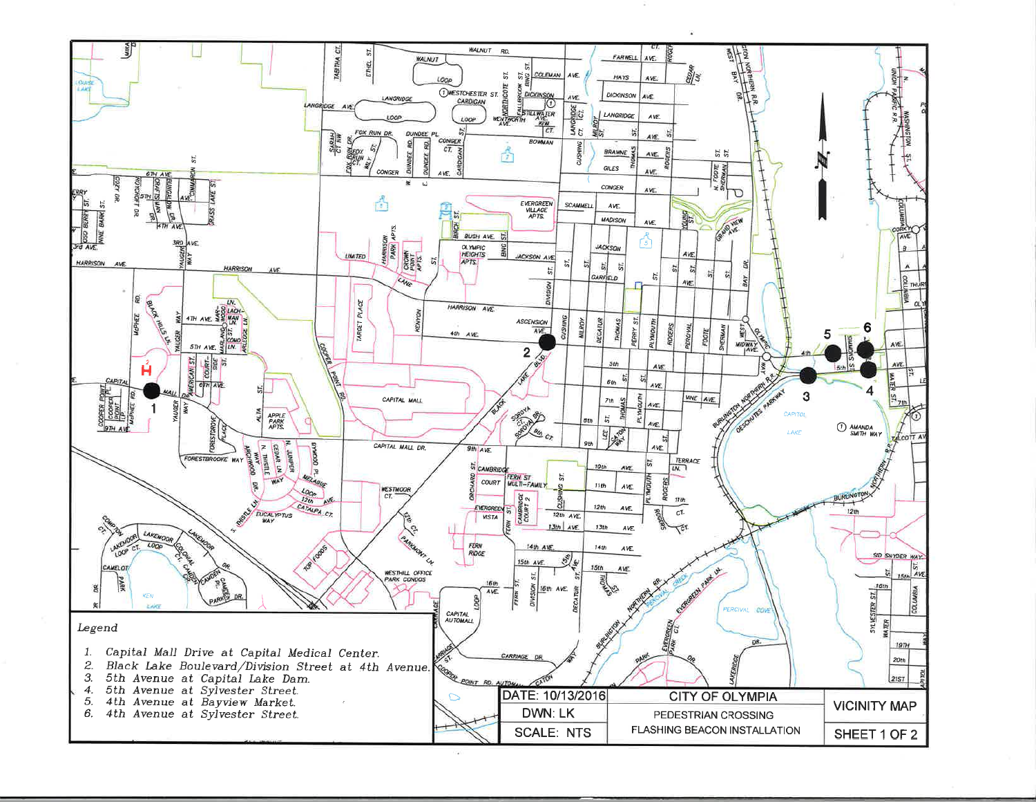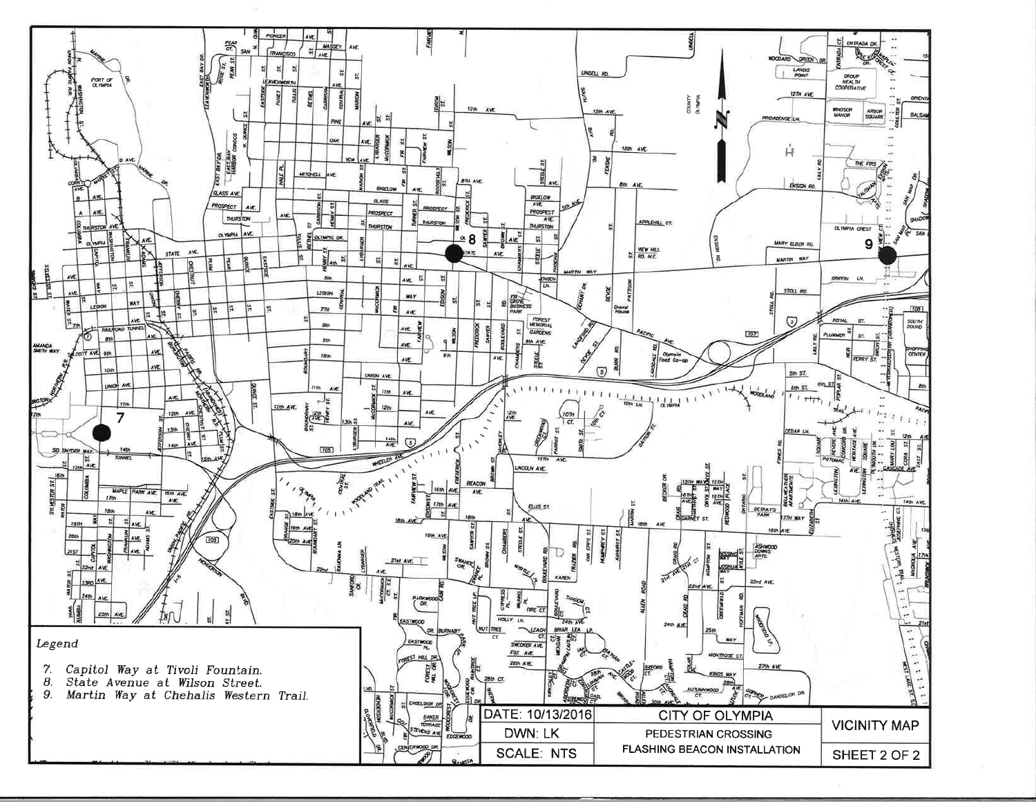